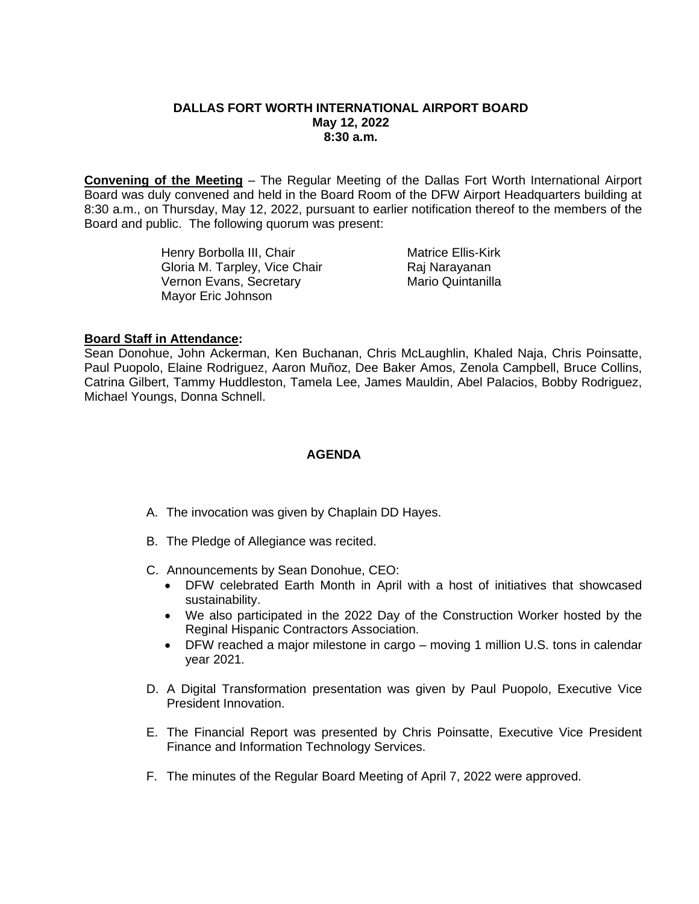#### **DALLAS FORT WORTH INTERNATIONAL AIRPORT BOARD May 12, 2022 8:30 a.m.**

**Convening of the Meeting** – The Regular Meeting of the Dallas Fort Worth International Airport Board was duly convened and held in the Board Room of the DFW Airport Headquarters building at 8:30 a.m., on Thursday, May 12, 2022, pursuant to earlier notification thereof to the members of the Board and public. The following quorum was present:

> Henry Borbolla III, Chair **Matrice Ellis-Kirk** Gloria M. Tarpley, Vice Chair **Raj Narayanan** Vernon Evans, Secretary Mario Quintanilla Mayor Eric Johnson

# **Board Staff in Attendance:**

Sean Donohue, John Ackerman, Ken Buchanan, Chris McLaughlin, Khaled Naja, Chris Poinsatte, Paul Puopolo, Elaine Rodriguez, Aaron Muñoz, Dee Baker Amos, Zenola Campbell, Bruce Collins, Catrina Gilbert, Tammy Huddleston, Tamela Lee, James Mauldin, Abel Palacios, Bobby Rodriguez, Michael Youngs, Donna Schnell.

## **AGENDA**

- A. The invocation was given by Chaplain DD Hayes.
- B. The Pledge of Allegiance was recited.
- C. Announcements by Sean Donohue, CEO:
	- DFW celebrated Earth Month in April with a host of initiatives that showcased sustainability.
	- We also participated in the 2022 Day of the Construction Worker hosted by the Reginal Hispanic Contractors Association.
	- DFW reached a major milestone in cargo moving 1 million U.S. tons in calendar year 2021.
- D. A Digital Transformation presentation was given by Paul Puopolo, Executive Vice President Innovation.
- E. The Financial Report was presented by Chris Poinsatte, Executive Vice President Finance and Information Technology Services.
- F. The minutes of the Regular Board Meeting of April 7, 2022 were approved.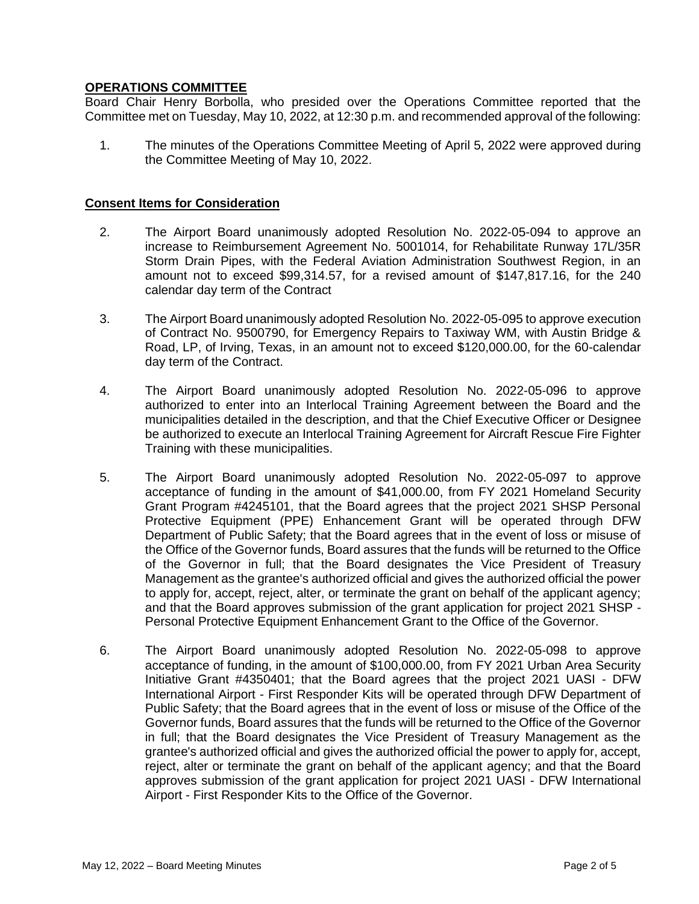# **OPERATIONS COMMITTEE**

Board Chair Henry Borbolla, who presided over the Operations Committee reported that the Committee met on Tuesday, May 10, 2022, at 12:30 p.m. and recommended approval of the following:

1. The minutes of the Operations Committee Meeting of April 5, 2022 were approved during the Committee Meeting of May 10, 2022.

#### **Consent Items for Consideration**

- 2. The Airport Board unanimously adopted Resolution No. 2022-05-094 to approve an increase to Reimbursement Agreement No. 5001014, for Rehabilitate Runway 17L/35R Storm Drain Pipes, with the Federal Aviation Administration Southwest Region, in an amount not to exceed \$99,314.57, for a revised amount of \$147,817.16, for the 240 calendar day term of the Contract
- 3. The Airport Board unanimously adopted Resolution No. 2022-05-095 to approve execution of Contract No. 9500790, for Emergency Repairs to Taxiway WM, with Austin Bridge & Road, LP, of Irving, Texas, in an amount not to exceed \$120,000.00, for the 60-calendar day term of the Contract.
- 4. The Airport Board unanimously adopted Resolution No. 2022-05-096 to approve authorized to enter into an Interlocal Training Agreement between the Board and the municipalities detailed in the description, and that the Chief Executive Officer or Designee be authorized to execute an Interlocal Training Agreement for Aircraft Rescue Fire Fighter Training with these municipalities.
- 5. The Airport Board unanimously adopted Resolution No. 2022-05-097 to approve acceptance of funding in the amount of \$41,000.00, from FY 2021 Homeland Security Grant Program #4245101, that the Board agrees that the project 2021 SHSP Personal Protective Equipment (PPE) Enhancement Grant will be operated through DFW Department of Public Safety; that the Board agrees that in the event of loss or misuse of the Office of the Governor funds, Board assures that the funds will be returned to the Office of the Governor in full; that the Board designates the Vice President of Treasury Management as the grantee's authorized official and gives the authorized official the power to apply for, accept, reject, alter, or terminate the grant on behalf of the applicant agency; and that the Board approves submission of the grant application for project 2021 SHSP - Personal Protective Equipment Enhancement Grant to the Office of the Governor.
- 6. The Airport Board unanimously adopted Resolution No. 2022-05-098 to approve acceptance of funding, in the amount of \$100,000.00, from FY 2021 Urban Area Security Initiative Grant #4350401; that the Board agrees that the project 2021 UASI - DFW International Airport - First Responder Kits will be operated through DFW Department of Public Safety; that the Board agrees that in the event of loss or misuse of the Office of the Governor funds, Board assures that the funds will be returned to the Office of the Governor in full; that the Board designates the Vice President of Treasury Management as the grantee's authorized official and gives the authorized official the power to apply for, accept, reject, alter or terminate the grant on behalf of the applicant agency; and that the Board approves submission of the grant application for project 2021 UASI - DFW International Airport - First Responder Kits to the Office of the Governor.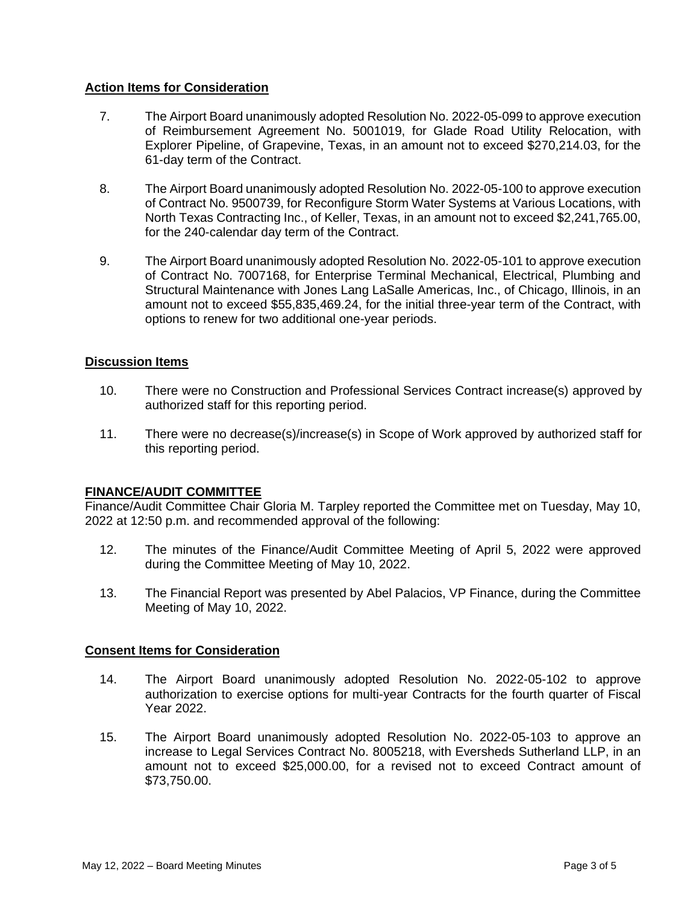# **Action Items for Consideration**

- 7. The Airport Board unanimously adopted Resolution No. 2022-05-099 to approve execution of Reimbursement Agreement No. 5001019, for Glade Road Utility Relocation, with Explorer Pipeline, of Grapevine, Texas, in an amount not to exceed \$270,214.03, for the 61-day term of the Contract.
- 8. The Airport Board unanimously adopted Resolution No. 2022-05-100 to approve execution of Contract No. 9500739, for Reconfigure Storm Water Systems at Various Locations, with North Texas Contracting Inc., of Keller, Texas, in an amount not to exceed \$2,241,765.00, for the 240-calendar day term of the Contract.
- 9. The Airport Board unanimously adopted Resolution No. 2022-05-101 to approve execution of Contract No. 7007168, for Enterprise Terminal Mechanical, Electrical, Plumbing and Structural Maintenance with Jones Lang LaSalle Americas, Inc., of Chicago, Illinois, in an amount not to exceed \$55,835,469.24, for the initial three-year term of the Contract, with options to renew for two additional one-year periods.

# **Discussion Items**

- 10. There were no Construction and Professional Services Contract increase(s) approved by authorized staff for this reporting period.
- 11. There were no decrease(s)/increase(s) in Scope of Work approved by authorized staff for this reporting period.

## **FINANCE/AUDIT COMMITTEE**

Finance/Audit Committee Chair Gloria M. Tarpley reported the Committee met on Tuesday, May 10, 2022 at 12:50 p.m. and recommended approval of the following:

- 12. The minutes of the Finance/Audit Committee Meeting of April 5, 2022 were approved during the Committee Meeting of May 10, 2022.
- 13. The Financial Report was presented by Abel Palacios, VP Finance, during the Committee Meeting of May 10, 2022.

## **Consent Items for Consideration**

- 14. The Airport Board unanimously adopted Resolution No. 2022-05-102 to approve authorization to exercise options for multi-year Contracts for the fourth quarter of Fiscal Year 2022.
- 15. The Airport Board unanimously adopted Resolution No. 2022-05-103 to approve an increase to Legal Services Contract No. 8005218, with Eversheds Sutherland LLP, in an amount not to exceed \$25,000.00, for a revised not to exceed Contract amount of \$73,750.00.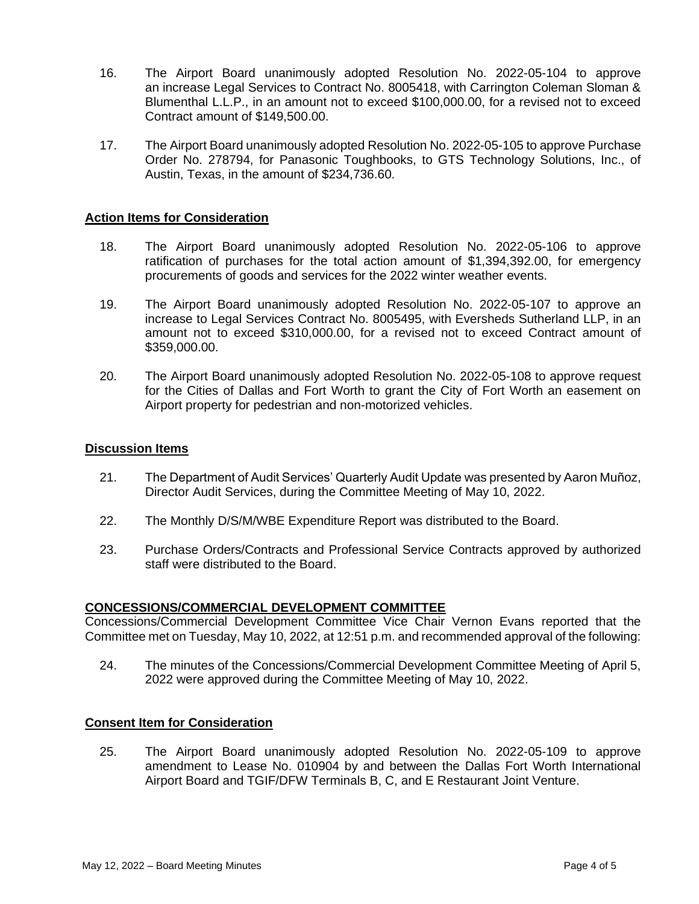- 16. The Airport Board unanimously adopted Resolution No. 2022-05-104 to approve an increase Legal Services to Contract No. 8005418, with Carrington Coleman Sloman & Blumenthal L.L.P., in an amount not to exceed \$100,000.00, for a revised not to exceed Contract amount of \$149,500.00.
- 17. The Airport Board unanimously adopted Resolution No. 2022-05-105 to approve Purchase Order No. 278794, for Panasonic Toughbooks, to GTS Technology Solutions, Inc., of Austin, Texas, in the amount of \$234,736.60.

## **Action Items for Consideration**

- 18. The Airport Board unanimously adopted Resolution No. 2022-05-106 to approve ratification of purchases for the total action amount of \$1,394,392.00, for emergency procurements of goods and services for the 2022 winter weather events.
- 19. The Airport Board unanimously adopted Resolution No. 2022-05-107 to approve an increase to Legal Services Contract No. 8005495, with Eversheds Sutherland LLP, in an amount not to exceed \$310,000.00, for a revised not to exceed Contract amount of \$359,000.00.
- 20. The Airport Board unanimously adopted Resolution No. 2022-05-108 to approve request for the Cities of Dallas and Fort Worth to grant the City of Fort Worth an easement on Airport property for pedestrian and non-motorized vehicles.

#### **Discussion Items**

- 21. The Department of Audit Services' Quarterly Audit Update was presented by Aaron Muñoz, Director Audit Services, during the Committee Meeting of May 10, 2022.
- 22. The Monthly D/S/M/WBE Expenditure Report was distributed to the Board.
- 23. Purchase Orders/Contracts and Professional Service Contracts approved by authorized staff were distributed to the Board.

#### **CONCESSIONS/COMMERCIAL DEVELOPMENT COMMITTEE**

Concessions/Commercial Development Committee Vice Chair Vernon Evans reported that the Committee met on Tuesday, May 10, 2022, at 12:51 p.m. and recommended approval of the following:

24. The minutes of the Concessions/Commercial Development Committee Meeting of April 5, 2022 were approved during the Committee Meeting of May 10, 2022.

#### **Consent Item for Consideration**

25. The Airport Board unanimously adopted Resolution No. 2022-05-109 to approve amendment to Lease No. 010904 by and between the Dallas Fort Worth International Airport Board and TGIF/DFW Terminals B, C, and E Restaurant Joint Venture.